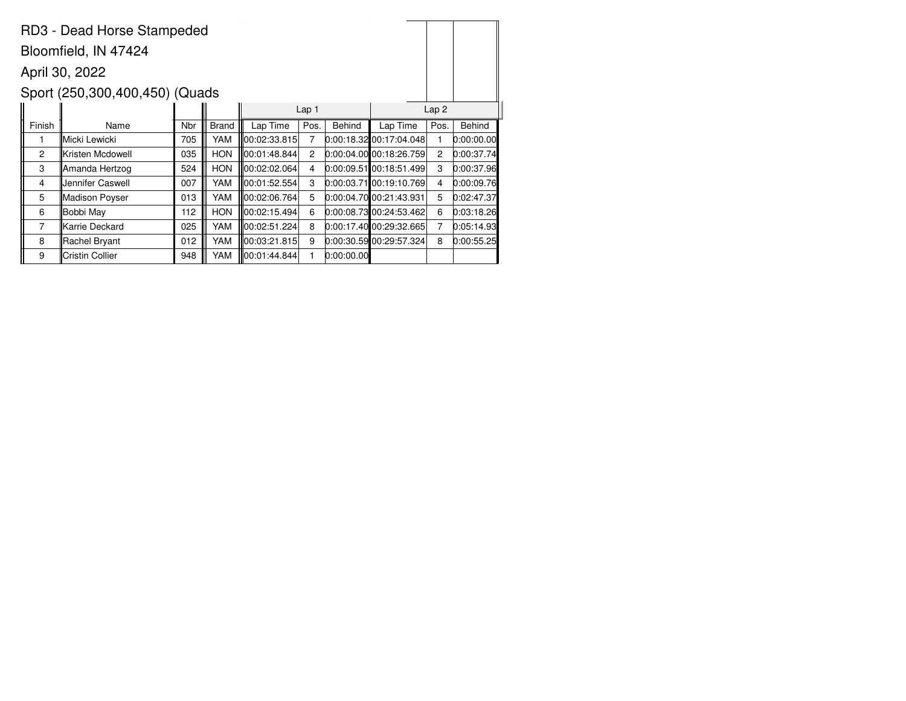|                | RD3 - Dead Horse Stampeded     |     |              |               |                  |            |                           |                  |               |
|----------------|--------------------------------|-----|--------------|---------------|------------------|------------|---------------------------|------------------|---------------|
|                | Bloomfield, IN 47424           |     |              |               |                  |            |                           |                  |               |
|                | April 30, 2022                 |     |              |               |                  |            |                           |                  |               |
|                | Sport (250,300,400,450) (Quads |     |              |               |                  |            |                           |                  |               |
|                |                                |     |              |               | Lap <sub>1</sub> |            |                           | Lap <sub>2</sub> |               |
| Finish         | Name                           | Nbr | <b>Brand</b> | Lap Time      | Pos.             | Behind     | Lap Time                  | Pos.             | <b>Behind</b> |
| 1              | Micki Lewicki                  | 705 | YAM          | 00:02:33.815  | 7                |            | 0:00:18.32 00:17:04.048   | 1                | 0:00:00.00    |
| $\overline{c}$ | ∥Kristen Mcdowell              | 035 | <b>HON</b>   | 00:01:48.844  | $\overline{2}$   |            | $0:00:04.00$ 00:18:26.759 | $\overline{2}$   | 0:00:37.74    |
| 3              | ∥Amanda Hertzog                | 524 | <b>HON</b>   | 100:02:02.064 | 4                |            | $0:00:09.51$ 00:18:51.499 | 3                | 0:00:37.96    |
| 4              | Uennifer Caswell               | 007 | YAM          | 100:01:52.554 | 3                |            | $0:00:03.71$ 00:19:10.769 | 4                | 0:00:09.76    |
| 5              | ∥Madison Poyser                | 013 | YAM          | 00:02:06.764  | 5                |            | 0:00:04.70 00:21:43.931   | 5                | 0:02:47.37    |
| 6              | Bobbi May                      | 112 | <b>HON</b>   | 00:02:15.494  | 6                |            | $0:00:08.73$ 00:24:53.462 | 6                | 0:03:18.26    |
| 7              | ∥Karrie Deckard                | 025 | YAM          | 00:02:51.224  | 8                |            | 0.00:17.4000:29:32.665    | 7                | 0:05:14.93    |
| 8              | Rachel Bryant                  | 012 | YAM          | 00:03:21.815  | 9                |            | 0:00:30.59 00:29:57.324   | 8                | 0:00:55.25    |
| 9              | Cristin Collier                | 948 | YAM          | 00:01:44.844  |                  | 0:00:00.00 |                           |                  |               |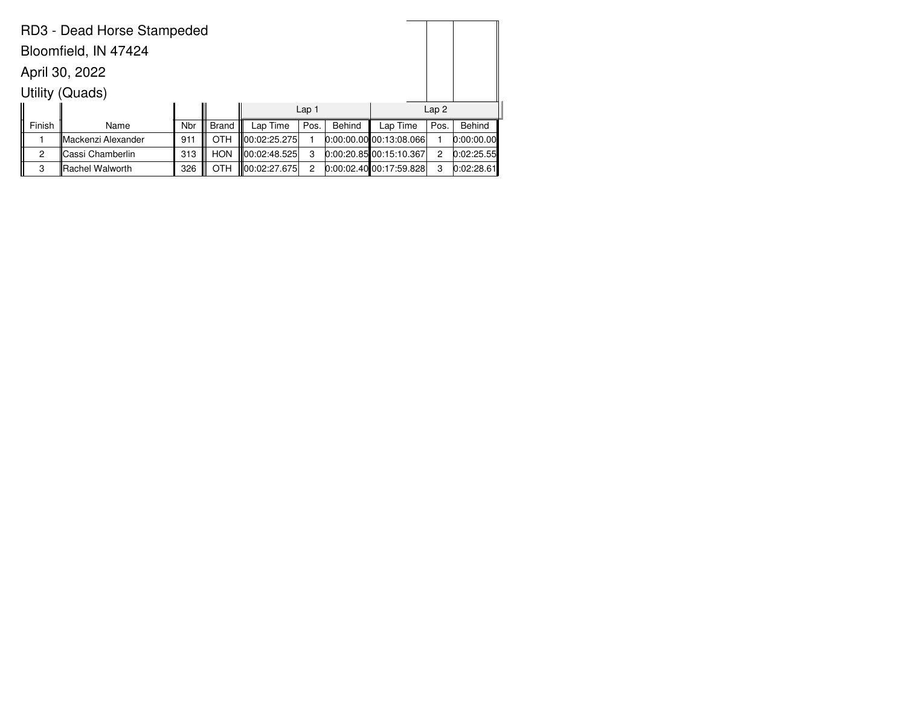|                      | RD3 - Dead Horse Stampeded |     |              |                          |                |               |                             |      |               |  |
|----------------------|----------------------------|-----|--------------|--------------------------|----------------|---------------|-----------------------------|------|---------------|--|
| Bloomfield, IN 47424 |                            |     |              |                          |                |               |                             |      |               |  |
|                      | April 30, 2022             |     |              |                          |                |               |                             |      |               |  |
|                      | Utility (Quads)            |     |              |                          |                |               |                             |      |               |  |
|                      |                            |     |              | Lap2<br>Lap <sub>1</sub> |                |               |                             |      |               |  |
| Finish               | Name                       | Nbr | <b>Brand</b> | Lap Time                 | Pos.           | <b>Behind</b> | Lap Time                    | Pos. | <b>Behind</b> |  |
|                      | ∥Mackenzi Alexander        | 911 | <b>OTH</b>   | 100:02:25.275∥           |                |               | $0:00:00.00$ 00:13:08.066   |      | 0:00:00.00    |  |
| 2                    | lCassi Chamberlin          | 313 | <b>HON</b>   | 100:02:48.525            | 3              |               | $[0:00:20.85]$ 00:15:10.367 | 2    | 0:02:25.55    |  |
| 3                    | Rachel Walworth            | 326 | <b>OTH</b>   | 100:02:27.675            | $\overline{2}$ |               | $0:00:02.40$ 00:17:59.828   | 3    | 0:02:28.61    |  |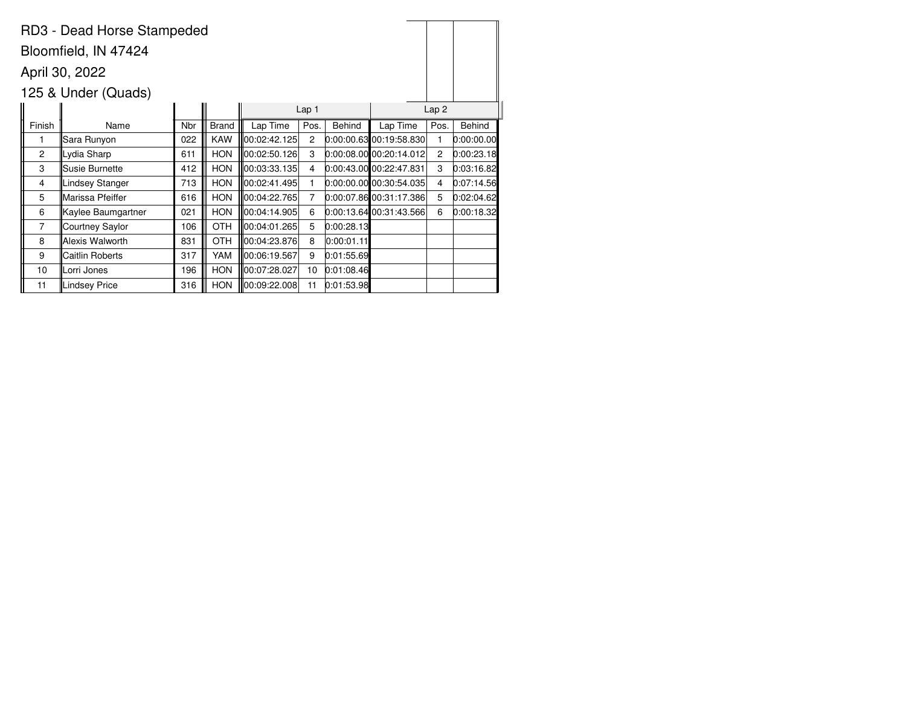|                | RD3 - Dead Horse Stampeded |     |              |               |                |            |                           |                |               |
|----------------|----------------------------|-----|--------------|---------------|----------------|------------|---------------------------|----------------|---------------|
|                | Bloomfield, IN 47424       |     |              |               |                |            |                           |                |               |
|                | April 30, 2022             |     |              |               |                |            |                           |                |               |
|                | 125 & Under (Quads)        |     |              |               |                |            |                           |                |               |
|                |                            |     |              |               | Lap 1          |            |                           | Lap2           |               |
| Finish         | Name                       | Nbr | <b>Brand</b> | Lap Time      | Pos.           | Behind     | Lap Time                  | Pos.           | <b>Behind</b> |
| 1              | Sara Runyon                | 022 | <b>KAW</b>   | 00:02:42.125  | $\overline{2}$ |            | $0:00:00.63$ 00:19:58.830 | 1              | 0:00:00.00    |
| $\overline{c}$ | Lydia Sharp                | 611 | <b>HON</b>   | 00:02:50.126  | 3              |            | $0.00:08.00$ 00:20:14.012 | $\overline{c}$ | 0:00:23.18    |
| 3              | Susie Burnette             | 412 | <b>HON</b>   | 00:03:33.135  | 4              |            | $0:00:43.00$ 00:22:47.831 | 3              | 0:03:16.82    |
| 4              | Lindsey Stanger            | 713 | <b>HON</b>   | 00:02:41.495  |                |            | $0:00:00.00$ 00:30:54.035 | 4              | 0:07:14.56    |
| 5              | Marissa Pfeiffer           | 616 | <b>HON</b>   | 00:04:22.765  | 7              |            | $0.00:07.86$ 00:31:17.386 | 5              | 0:02:04.62    |
| 6              | Kaylee Baumgartner         | 021 | <b>HON</b>   | 00:04:14.905  | 6              |            | 0:00:13.6400:31:43.566    | 6              | 0:00:18.32    |
| 7              | Courtney Saylor            | 106 | <b>OTH</b>   | 100:04:01.265 | 5              | 0:00:28.13 |                           |                |               |
| 8              | Alexis Walworth            | 831 | <b>OTH</b>   | 00:04:23.876  | 8              | 0:00:01.11 |                           |                |               |
| 9              | Caitlin Roberts            | 317 | YAM          | 00:06:19.567  | 9              | 0:01:55.69 |                           |                |               |
| 10             | Lorri Jones                | 196 | <b>HON</b>   | 00:07:28.027  | 10             | 0.01:08.46 |                           |                |               |
| 11             | <b>Lindsey Price</b>       | 316 | <b>HON</b>   | 00:09:22.008  | 11             | 0:01:53.98 |                           |                |               |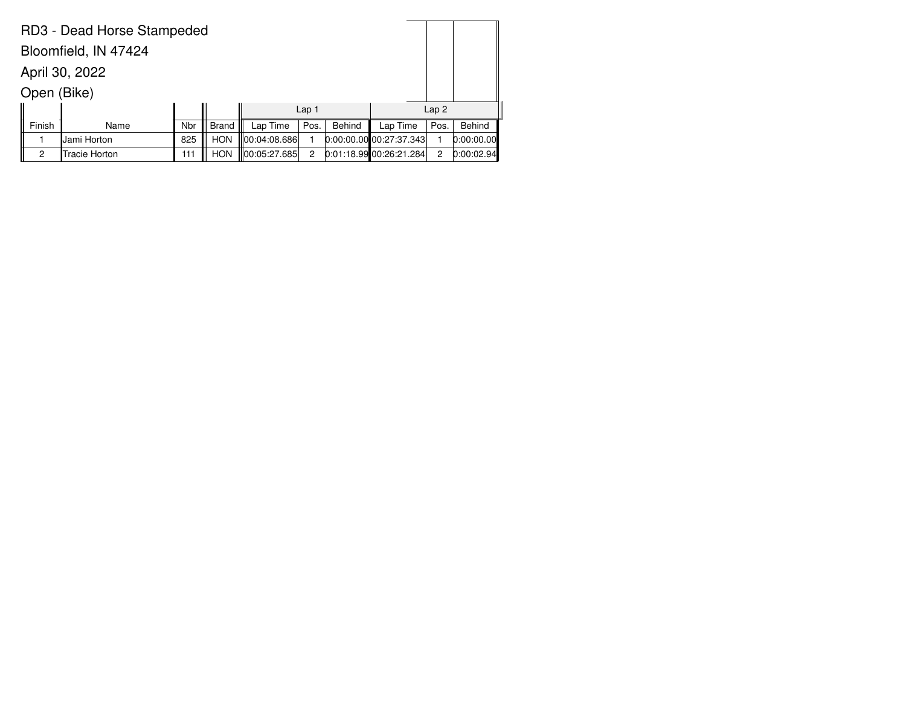| RD3 - Dead Horse Stampeded |               |     |              |               |                |        |                           |      |            |  |
|----------------------------|---------------|-----|--------------|---------------|----------------|--------|---------------------------|------|------------|--|
| Bloomfield, IN 47424       |               |     |              |               |                |        |                           |      |            |  |
| April 30, 2022             |               |     |              |               |                |        |                           |      |            |  |
| Open (Bike)                |               |     |              |               |                |        |                           |      |            |  |
|                            | Lap2<br>Lap 1 |     |              |               |                |        |                           |      |            |  |
| Finish                     | Name          | Nbr | <b>Brand</b> | Lap Time      | Pos.           | Behind | Lap Time                  | Pos. | Behind     |  |
|                            | Jami Horton   | 825 | <b>HON</b>   | 100:04:08.686 |                |        | $0:00:00.00$ 00:27:37.343 |      | 0:00:00.00 |  |
| 2                          | Tracie Horton | 111 | <b>HON</b>   | 100:05:27.685 | $\overline{2}$ |        | 0.01:18.99 00:26:21.284   | 2    | 0:00:02.94 |  |